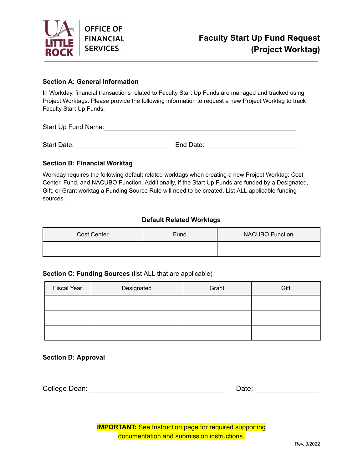

#### **Section A: General Information**

 In Workday, financial transactions related to Faculty Start Up Funds are managed and tracked using Project Worktags. Please provide the following information to request a new Project Worktag to track Faculty Start Up Funds.

Start Up Fund Name: <u>Lateral and the started</u> state of the state of the state of the state of the state of the state of the state of the state of the state of the state of the state of the state of the state of the state o

Start Date: \_\_\_\_\_\_\_\_\_\_\_\_\_\_\_\_\_\_\_\_\_\_\_\_\_ End Date: \_\_\_\_\_\_\_\_\_\_\_\_\_\_\_\_\_\_\_\_\_\_\_\_\_

#### **Section B: Financial Worktag**

 Workday requires the following default related worktags when creating a new Project Worktag: Cost Center, Fund, and NACUBO Function. Additionally, if the Start Up Funds are funded by a Designated, Gift, or Grant worktag a Funding Source Rule will need to be created. List ALL applicable funding sources.

#### **Default Related Worktags**

| <b>Cost Center</b> | Fund | <b>NACUBO Function</b> |
|--------------------|------|------------------------|
|                    |      |                        |

#### **Section C: Funding Sources** (list ALL that are applicable)

| <b>Fiscal Year</b> | Designated | Grant | Gift |
|--------------------|------------|-------|------|
|                    |            |       |      |
|                    |            |       |      |
|                    |            |       |      |

#### **Section D: Approval**

College Dean: \_\_\_\_\_\_\_\_\_\_\_\_\_\_\_\_\_\_\_\_\_\_\_\_\_\_\_\_\_\_\_\_\_\_ Date: \_\_\_\_\_\_\_\_\_\_\_\_\_\_\_\_

| ÷<br>٠.<br>ъ. |  |  |  |  |  |
|---------------|--|--|--|--|--|
|               |  |  |  |  |  |

**IMPORTANT:** See Instruction page for required supporting documentation and submission instructions.